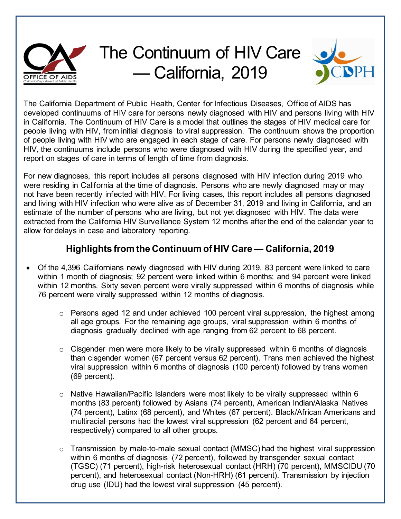

## The Continuum of HIV Care — California, 2019



The California Department of Public Health, Center for Infectious Diseases, Office of AIDS has developed continuums of HIV care for persons newly diagnosed with HIV and persons living with HIV in California. The Continuum of HIV Care is a model that outlines the stages of HIV medical care for people living with HIV, from initial diagnosis to viral suppression. The continuum shows the proportion of people living with HIV who are engaged in each stage of care. For persons newly diagnosed with HIV, the continuums include persons who were diagnosed with HIV during the specified year, and report on stages of care in terms of length of time from diagnosis.

For new diagnoses, this report includes all persons diagnosed with HIV infection during 2019 who were residing in California at the time of diagnosis. Persons who are newly diagnosed may or may not have been recently infected with HIV. For living cases, this report includes all persons diagnosed and living with HIV infection who were alive as of December 31, 2019 and living in California, and an estimate of the number of persons who are living, but not yet diagnosed with HIV. The data were extracted from the California HIV Surveillance System 12 months after the end of the calendar year to allow for delays in case and laboratory reporting.

## **Highlights from the Continuum of HIV Care — California, 2019**

- Of the 4,396 Californians newly diagnosed with HIV during 2019, 83 percent were linked to care within 1 month of diagnosis; 92 percent were linked within 6 months; and 94 percent were linked within 12 months. Sixty seven percent were virally suppressed within 6 months of diagnosis while 76 percent were virally suppressed within 12 months of diagnosis.
	- $\circ$  Persons aged 12 and under achieved 100 percent viral suppression, the highest among all age groups. For the remaining age groups, viral suppression within 6 months of diagnosis gradually declined with age ranging from 62 percent to 68 percent.
	- $\circ$  Cisgender men were more likely to be virally suppressed within 6 months of diagnosis than cisgender women (67 percent versus 62 percent). Trans men achieved the highest viral suppression within 6 months of diagnosis (100 percent) followed by trans women (69 percent).
	- $\circ$  Native Hawaiian/Pacific Islanders were most likely to be virally suppressed within 6 months (83 percent) followed by Asians (74 percent), American Indian/Alaska Natives (74 percent), Latinx (68 percent), and Whites (67 percent). Black/African Americans and multiracial persons had the lowest viral suppression (62 percent and 64 percent, respectively) compared to all other groups.
	- o Transmission by male-to-male sexual contact (MMSC) had the highest viral suppression within 6 months of diagnosis (72 percent), followed by transgender sexual contact (TGSC) (71 percent), high-risk heterosexual contact (HRH) (70 percent), MMSCIDU (70 percent), and heterosexual contact (Non-HRH) (61 percent). Transmission by injection drug use (IDU) had the lowest viral suppression (45 percent).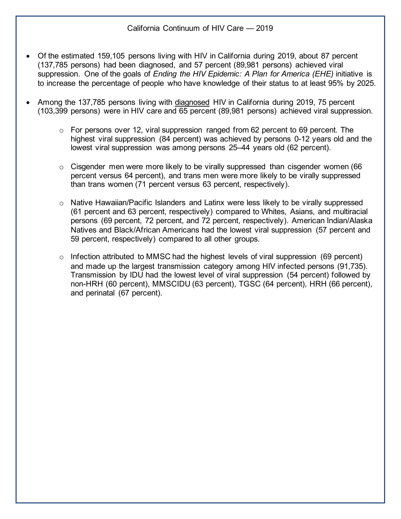- Of the estimated 159,105 persons living with HIV in California during 2019, about 87 percent (137,785 persons) had been diagnosed, and 57 percent (89,981 persons) achieved viral suppression. One of the goals of *Ending the HIV Epidemic: A Plan for America (EHE)* initiative is to increase the percentage of people who have knowledge of their status to at least 95% by 2025.
- Among the 137,785 persons living with diagnosed HIV in California during 2019, 75 percent (103,399 persons) were in HIV care and 65 percent (89,981 persons) achieved viral suppression.
	- $\circ$  For persons over 12, viral suppression ranged from 62 percent to 69 percent. The highest viral suppression (84 percent) was achieved by persons 0-12 years old and the lowest viral suppression was among persons 25–44 years old (62 percent).
	- $\circ$  Cisgender men were more likely to be virally suppressed than cisgender women (66 percent versus 64 percent), and trans men were more likely to be virally suppressed than trans women (71 percent versus 63 percent, respectively).
	- o Native Hawaiian/Pacific Islanders and Latinx were less likely to be virally suppressed (61 percent and 63 percent, respectively) compared to Whites, Asians, and multiracial persons (69 percent, 72 percent, and 72 percent, respectively). American Indian/Alaska Natives and Black/African Americans had the lowest viral suppression (57 percent and 59 percent, respectively) compared to all other groups.
	- $\circ$  Infection attributed to MMSC had the highest levels of viral suppression (69 percent) and made up the largest transmission category among HIV infected persons (91,735). Transmission by IDU had the lowest level of viral suppression (54 percent) followed by non-HRH (60 percent), MMSCIDU (63 percent), TGSC (64 percent), HRH (66 percent), and perinatal (67 percent).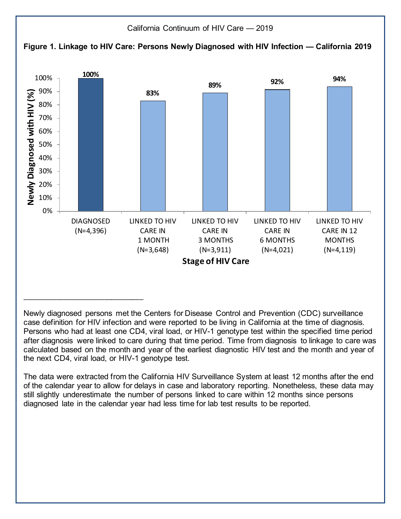

Newly diagnosed persons met the Centers for Disease Control and Prevention (CDC) surveillance case definition for HIV infection and were reported to be living in California at the time of diagnosis. Persons who had at least one CD4, viral load, or HIV-1 genotype test within the specified time period after diagnosis were linked to care during that time period. Time from diagnosis to linkage to care was calculated based on the month and year of the earliest diagnostic HIV test and the month and year of the next CD4, viral load, or HIV-1 genotype test.

The data were extracted from the California HIV Surveillance System at least 12 months after the end of the calendar year to allow for delays in case and laboratory reporting. Nonetheless, these data may still slightly underestimate the number of persons linked to care within 12 months since persons diagnosed late in the calendar year had less time for lab test results to be reported.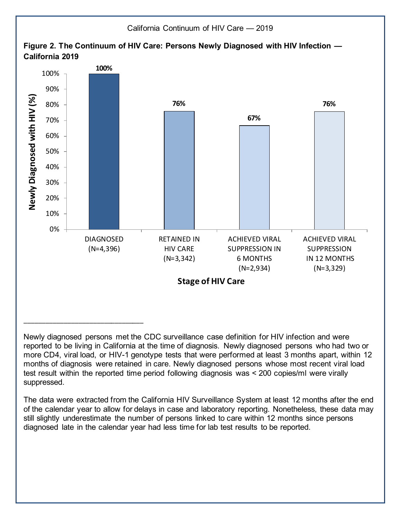

Newly diagnosed persons met the CDC surveillance case definition for HIV infection and were reported to be living in California at the time of diagnosis. Newly diagnosed persons who had two or more CD4, viral load, or HIV-1 genotype tests that were performed at least 3 months apart, within 12 months of diagnosis were retained in care. Newly diagnosed persons whose most recent viral load test result within the reported time period following diagnosis was < 200 copies/ml were virally suppressed.

The data were extracted from the California HIV Surveillance System at least 12 months after the end of the calendar year to allow for delays in case and laboratory reporting. Nonetheless, these data may still slightly underestimate the number of persons linked to care within 12 months since persons diagnosed late in the calendar year had less time for lab test results to be reported.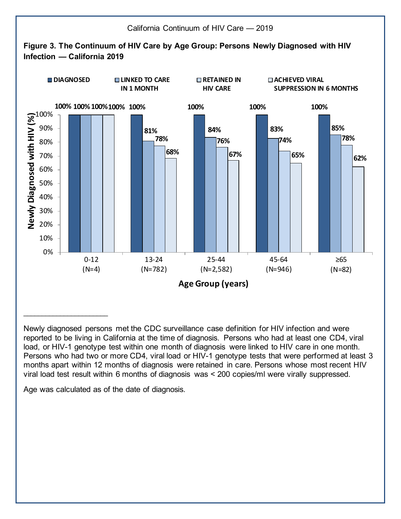

Newly diagnosed persons met the CDC surveillance case definition for HIV infection and were reported to be living in California at the time of diagnosis. Persons who had at least one CD4, viral load, or HIV-1 genotype test within one month of diagnosis were linked to HIV care in one month. Persons who had two or more CD4, viral load or HIV-1 genotype tests that were performed at least 3 months apart within 12 months of diagnosis were retained in care. Persons whose most recent HIV viral load test result within 6 months of diagnosis was < 200 copies/ml were virally suppressed.

Age was calculated as of the date of diagnosis.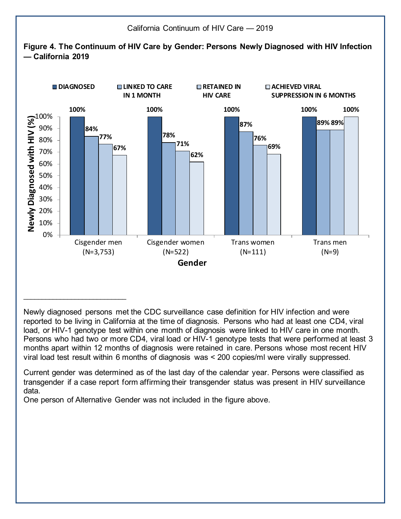

Newly diagnosed persons met the CDC surveillance case definition for HIV infection and were reported to be living in California at the time of diagnosis. Persons who had at least one CD4, viral load, or HIV-1 genotype test within one month of diagnosis were linked to HIV care in one month. Persons who had two or more CD4, viral load or HIV-1 genotype tests that were performed at least 3 months apart within 12 months of diagnosis were retained in care. Persons whose most recent HIV viral load test result within 6 months of diagnosis was < 200 copies/ml were virally suppressed.

Current gender was determined as of the last day of the calendar year. Persons were classified as transgender if a case report form affirming their transgender status was present in HIV surveillance data.

One person of Alternative Gender was not included in the figure above.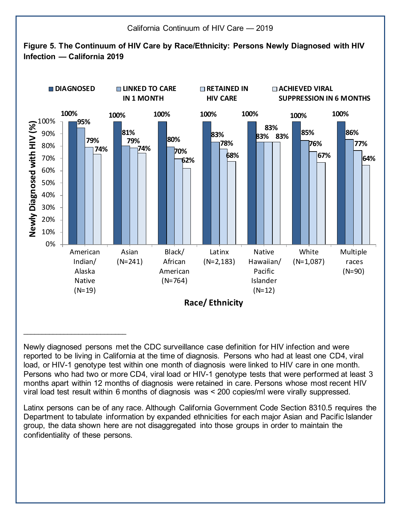

Newly diagnosed persons met the CDC surveillance case definition for HIV infection and were reported to be living in California at the time of diagnosis. Persons who had at least one CD4, viral load, or HIV-1 genotype test within one month of diagnosis were linked to HIV care in one month. Persons who had two or more CD4, viral load or HIV-1 genotype tests that were performed at least 3 months apart within 12 months of diagnosis were retained in care. Persons whose most recent HIV viral load test result within 6 months of diagnosis was < 200 copies/ml were virally suppressed.

Latinx persons can be of any race. Although California Government Code Section 8310.5 requires the Department to tabulate information by expanded ethnicities for each major Asian and Pacific Islander group, the data shown here are not disaggregated into those groups in order to maintain the confidentiality of these persons.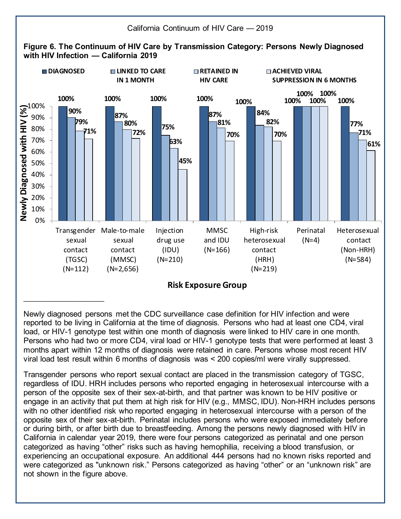

Newly diagnosed persons met the CDC surveillance case definition for HIV infection and were reported to be living in California at the time of diagnosis. Persons who had at least one CD4, viral load, or HIV-1 genotype test within one month of diagnosis were linked to HIV care in one month. Persons who had two or more CD4, viral load or HIV-1 genotype tests that were performed at least 3 months apart within 12 months of diagnosis were retained in care. Persons whose most recent HIV viral load test result within 6 months of diagnosis was < 200 copies/ml were virally suppressed.

Transgender persons who report sexual contact are placed in the transmission category of TGSC, regardless of IDU. HRH includes persons who reported engaging in heterosexual intercourse with a person of the opposite sex of their sex-at-birth, and that partner was known to be HIV positive or engage in an activity that put them at high risk for HIV (e.g., MMSC, IDU). Non-HRH includes persons with no other identified risk who reported engaging in heterosexual intercourse with a person of the opposite sex of their sex-at-birth. Perinatal includes persons who were exposed immediately before or during birth, or after birth due to breastfeeding. Among the persons newly diagnosed with HIV in California in calendar year 2019, there were four persons categorized as perinatal and one person categorized as having "other" risks such as having hemophilia, receiving a blood transfusion, or experiencing an occupational exposure. An additional 444 persons had no known risks reported and were categorized as "unknown risk." Persons categorized as having "other" or an "unknown risk" are not shown in the figure above.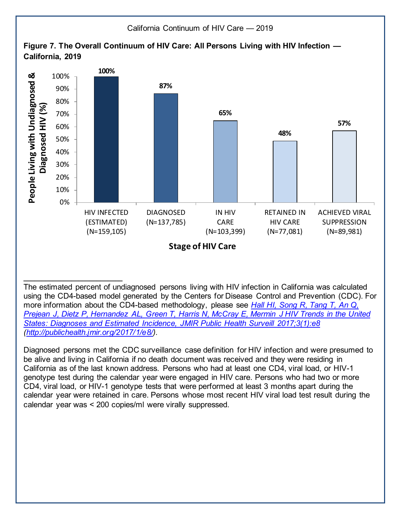

The estimated percent of undiagnosed persons living with HIV infection in California was calculated using the CD4-based model generated by the Centers for Disease Control and Prevention (CDC). For more information about the CD4-based methodology, please see *[Hall HI, Song R, Tang T, An Q,](https://publichealth.jmir.org/2017/1/e8/)  [Prejean J, Dietz P, Hernandez AL, Green T, Harris N, McCray E, Mermin J HIV Trends in the United](https://publichealth.jmir.org/2017/1/e8/)  States: [Diagnoses and Estimated Incidence, JMIR Public Health Surveill 2017;3\(1\):e8](https://publichealth.jmir.org/2017/1/e8/) [\(http://publichealth.jmir.org/2017/1/e8/\).](https://publichealth.jmir.org/2017/1/e8/)*

**\_\_\_\_\_\_\_\_\_\_\_\_\_\_\_\_\_\_\_\_\_\_\_\_\_\_\_**

Diagnosed persons met the CDC surveillance case definition for HIV infection and were presumed to be alive and living in California if no death document was received and they were residing in California as of the last known address. Persons who had at least one CD4, viral load, or HIV-1 genotype test during the calendar year were engaged in HIV care. Persons who had two or more CD4, viral load, or HIV-1 genotype tests that were performed at least 3 months apart during the calendar year were retained in care. Persons whose most recent HIV viral load test result during the calendar year was < 200 copies/ml were virally suppressed.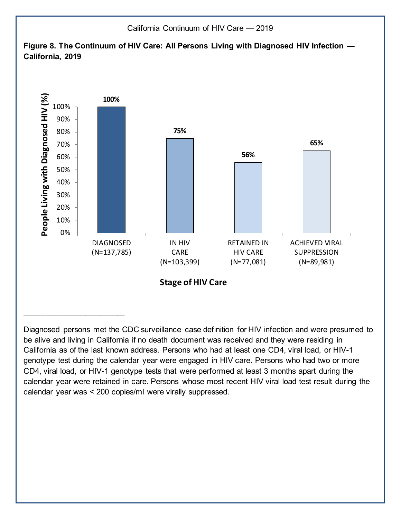

Diagnosed persons met the CDC surveillance case definition for HIV infection and were presumed to be alive and living in California if no death document was received and they were residing in California as of the last known address. Persons who had at least one CD4, viral load, or HIV-1 genotype test during the calendar year were engaged in HIV care. Persons who had two or more CD4, viral load, or HIV-1 genotype tests that were performed at least 3 months apart during the calendar year were retained in care. Persons whose most recent HIV viral load test result during the calendar year was < 200 copies/ml were virally suppressed.

\_\_\_\_\_\_\_\_\_\_\_\_\_\_\_\_\_\_\_\_\_\_\_\_\_\_\_\_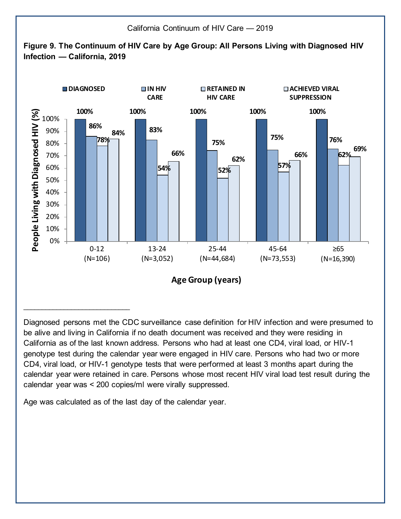

Diagnosed persons met the CDC surveillance case definition for HIV infection and were presumed to be alive and living in California if no death document was received and they were residing in California as of the last known address. Persons who had at least one CD4, viral load, or HIV-1 genotype test during the calendar year were engaged in HIV care. Persons who had two or more CD4, viral load, or HIV-1 genotype tests that were performed at least 3 months apart during the calendar year were retained in care. Persons whose most recent HIV viral load test result during the calendar year was < 200 copies/ml were virally suppressed.

Age was calculated as of the last day of the calendar year.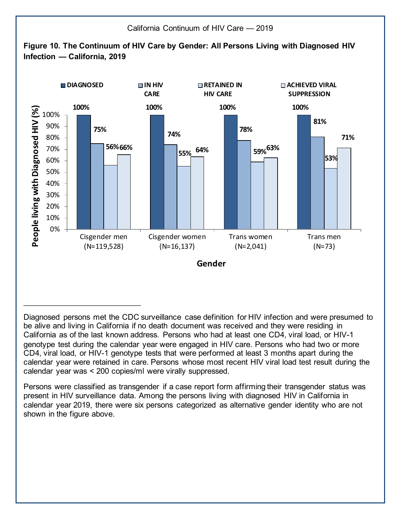

Diagnosed persons met the CDC surveillance case definition for HIV infection and were presumed to be alive and living in California if no death document was received and they were residing in California as of the last known address. Persons who had at least one CD4, viral load, or HIV-1 genotype test during the calendar year were engaged in HIV care. Persons who had two or more CD4, viral load, or HIV-1 genotype tests that were performed at least 3 months apart during the calendar year were retained in care. Persons whose most recent HIV viral load test result during the calendar year was < 200 copies/ml were virally suppressed.

Persons were classified as transgender if a case report form affirming their transgender status was present in HIV surveillance data. Among the persons living with diagnosed HIV in California in calendar year 2019, there were six persons categorized as alternative gender identity who are not shown in the figure above.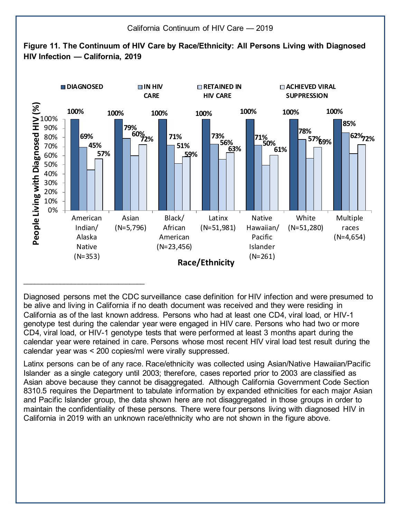

Diagnosed persons met the CDC surveillance case definition for HIV infection and were presumed to be alive and living in California if no death document was received and they were residing in California as of the last known address. Persons who had at least one CD4, viral load, or HIV-1 genotype test during the calendar year were engaged in HIV care. Persons who had two or more CD4, viral load, or HIV-1 genotype tests that were performed at least 3 months apart during the calendar year were retained in care. Persons whose most recent HIV viral load test result during the calendar year was < 200 copies/ml were virally suppressed.

Latinx persons can be of any race. Race/ethnicity was collected using Asian/Native Hawaiian/Pacific Islander as a single category until 2003; therefore, cases reported prior to 2003 are classified as Asian above because they cannot be disaggregated. Although California Government Code Section 8310.5 requires the Department to tabulate information by expanded ethnicities for each major Asian and Pacific Islander group, the data shown here are not disaggregated in those groups in order to maintain the confidentiality of these persons. There were four persons living with diagnosed HIV in California in 2019 with an unknown race/ethnicity who are not shown in the figure above.